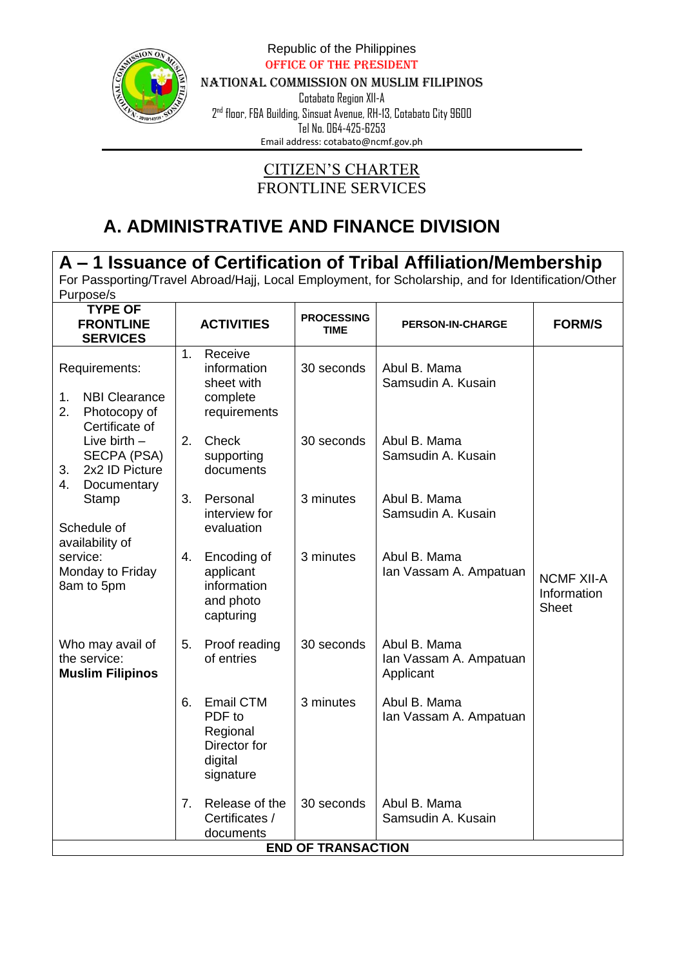

Republic of the Philippines Office of the President

NATIONAL COMMISSION ON MUSLIM FILIPINOS

Cotabato Region XII-A  $2<sup>nd</sup>$  floor, F&A Building, Sinsuat Avenue, RH-13, Cotabato City 9600 .<br>Tel No. 064-425-6253

Email address: [cotabato@ncmf.gov.ph](mailto:cotabato@ncmf.gov.ph)

#### CITIZEN'S CHARTER FRONTLINE SERVICES

# **A. ADMINISTRATIVE AND FINANCE DIVISION**

| A – 1 Issuance of Certification of Tribal Affiliation/Membership                    |         |                                                                         |                                  |                                                                                                     |                                                  |  |  |
|-------------------------------------------------------------------------------------|---------|-------------------------------------------------------------------------|----------------------------------|-----------------------------------------------------------------------------------------------------|--------------------------------------------------|--|--|
|                                                                                     |         |                                                                         |                                  | For Passporting/Travel Abroad/Hajj, Local Employment, for Scholarship, and for Identification/Other |                                                  |  |  |
| Purpose/s                                                                           |         |                                                                         |                                  |                                                                                                     |                                                  |  |  |
| <b>TYPE OF</b><br><b>FRONTLINE</b><br><b>SERVICES</b>                               |         | <b>ACTIVITIES</b>                                                       | <b>PROCESSING</b><br><b>TIME</b> | <b>PERSON-IN-CHARGE</b>                                                                             | <b>FORM/S</b>                                    |  |  |
| Requirements:<br><b>NBI Clearance</b><br>1.<br>2.<br>Photocopy of<br>Certificate of | $1_{-}$ | Receive<br>information<br>sheet with<br>complete<br>requirements        | 30 seconds                       | Abul B. Mama<br>Samsudin A. Kusain                                                                  |                                                  |  |  |
| Live birth $-$<br>SECPA (PSA)<br>2x2 ID Picture<br>3.<br>4.<br>Documentary          | 2.      | Check<br>supporting<br>documents                                        | 30 seconds                       | Abul B. Mama<br>Samsudin A. Kusain                                                                  |                                                  |  |  |
| Stamp<br>Schedule of<br>availability of                                             | 3.      | Personal<br>interview for<br>evaluation                                 | 3 minutes                        | Abul B. Mama<br>Samsudin A. Kusain                                                                  |                                                  |  |  |
| service:<br>Monday to Friday<br>8am to 5pm                                          | 4.      | Encoding of<br>applicant<br>information<br>and photo<br>capturing       | 3 minutes                        | Abul B. Mama<br>Ian Vassam A. Ampatuan                                                              | <b>NCMF XII-A</b><br>Information<br><b>Sheet</b> |  |  |
| Who may avail of<br>the service:<br><b>Muslim Filipinos</b>                         | 5.      | Proof reading<br>of entries                                             | 30 seconds                       | Abul B. Mama<br>Ian Vassam A. Ampatuan<br>Applicant                                                 |                                                  |  |  |
|                                                                                     | 6.      | Email CTM<br>PDF to<br>Regional<br>Director for<br>digital<br>signature | 3 minutes                        | Abul B. Mama<br>Ian Vassam A. Ampatuan                                                              |                                                  |  |  |
|                                                                                     | 7.      | Release of the<br>Certificates /<br>documents                           | 30 seconds                       | Abul B. Mama<br>Samsudin A. Kusain                                                                  |                                                  |  |  |
|                                                                                     |         |                                                                         | <b>END OF TRANSACTION</b>        |                                                                                                     |                                                  |  |  |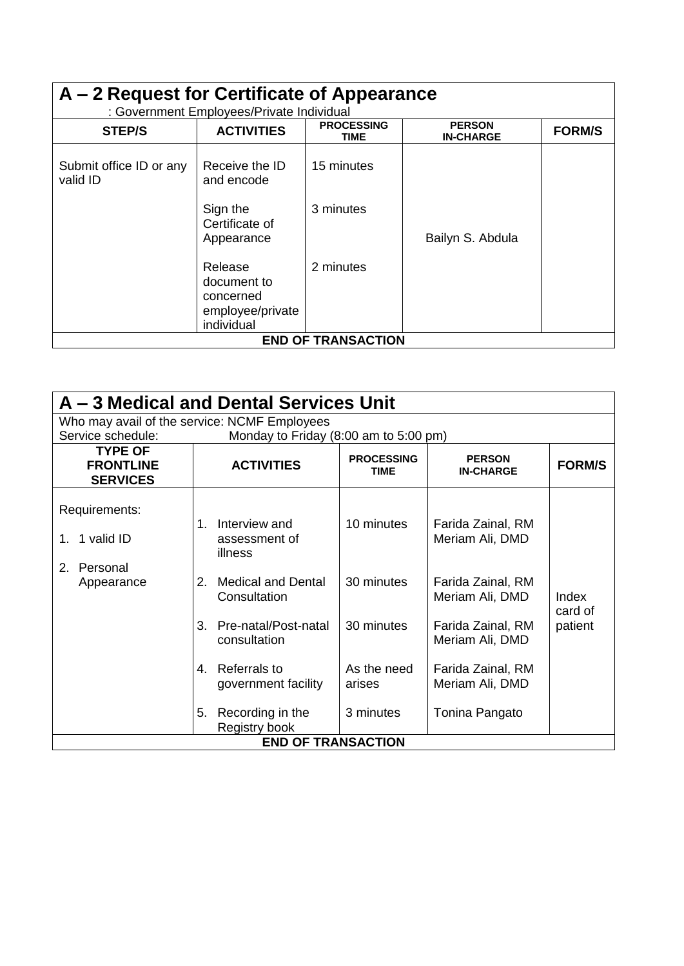| A – 2 Request for Certificate of Appearance<br>: Government Employees/Private Individual |                                                                       |                                  |                                   |               |  |  |
|------------------------------------------------------------------------------------------|-----------------------------------------------------------------------|----------------------------------|-----------------------------------|---------------|--|--|
| <b>STEP/S</b>                                                                            | <b>ACTIVITIES</b>                                                     | <b>PROCESSING</b><br><b>TIME</b> | <b>PERSON</b><br><b>IN-CHARGE</b> | <b>FORM/S</b> |  |  |
| Submit office ID or any<br>valid ID                                                      | Receive the ID<br>and encode                                          | 15 minutes                       |                                   |               |  |  |
|                                                                                          | Sign the<br>Certificate of<br>Appearance                              | 3 minutes                        | Bailyn S. Abdula                  |               |  |  |
|                                                                                          | Release<br>document to<br>concerned<br>employee/private<br>individual | 2 minutes                        |                                   |               |  |  |
|                                                                                          |                                                                       | <b>END OF TRANSACTION</b>        |                                   |               |  |  |

| A – 3 Medical and Dental Services Unit                |                                                 |                                  |                                      |                  |  |  |  |  |
|-------------------------------------------------------|-------------------------------------------------|----------------------------------|--------------------------------------|------------------|--|--|--|--|
| Who may avail of the service: NCMF Employees          |                                                 |                                  |                                      |                  |  |  |  |  |
| Service schedule:                                     | Monday to Friday (8:00 am to 5:00 pm)           |                                  |                                      |                  |  |  |  |  |
| <b>TYPE OF</b><br><b>FRONTLINE</b><br><b>SERVICES</b> | <b>ACTIVITIES</b>                               | <b>PROCESSING</b><br><b>TIME</b> | <b>PERSON</b><br><b>IN-CHARGE</b>    | <b>FORM/S</b>    |  |  |  |  |
| Requirements:                                         | Interview and<br>$1_{-}$                        | 10 minutes                       | Farida Zainal, RM                    |                  |  |  |  |  |
| 1 valid ID<br>$1_{-}$                                 | assessment of<br>illness                        |                                  | Meriam Ali, DMD                      |                  |  |  |  |  |
| $2_{-}$<br>Personal                                   |                                                 |                                  |                                      |                  |  |  |  |  |
| Appearance                                            | <b>Medical and Dental</b><br>2.<br>Consultation | 30 minutes                       | Farida Zainal, RM<br>Meriam Ali, DMD | Index<br>card of |  |  |  |  |
|                                                       | Pre-natal/Post-natal<br>3.<br>consultation      | 30 minutes                       | Farida Zainal, RM<br>Meriam Ali, DMD | patient          |  |  |  |  |
|                                                       | Referrals to<br>4<br>government facility        | As the need<br>arises            | Farida Zainal, RM<br>Meriam Ali, DMD |                  |  |  |  |  |
|                                                       | Recording in the<br>5.<br>Registry book         | 3 minutes                        | Tonina Pangato                       |                  |  |  |  |  |
|                                                       | <b>END OF TRANSACTION</b>                       |                                  |                                      |                  |  |  |  |  |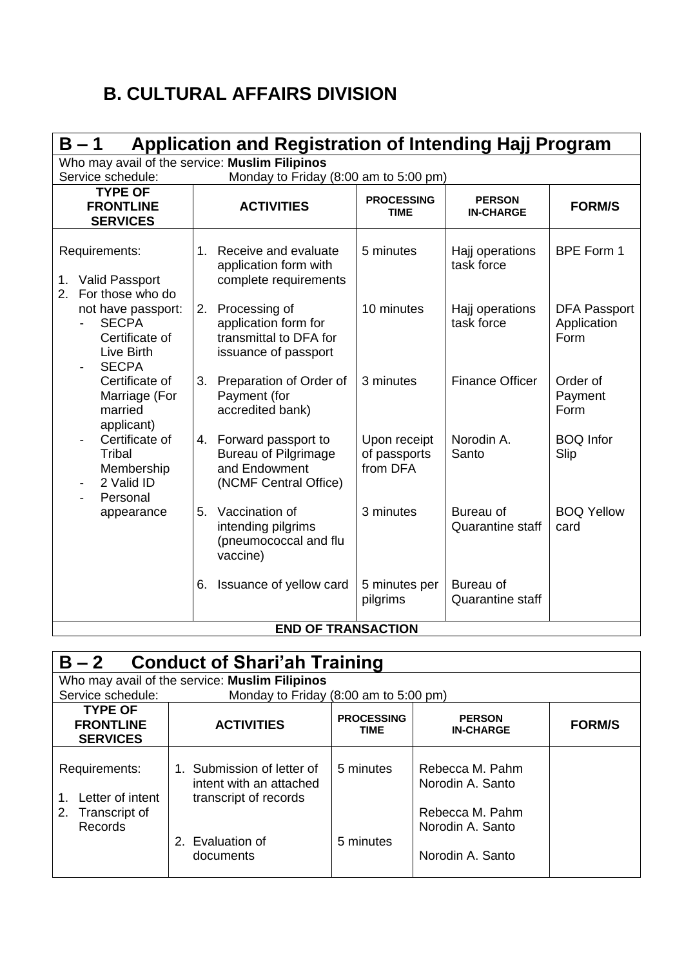# **B. CULTURAL AFFAIRS DIVISION**

| $B - 1$                                                                            | Application and Registration of Intending Hajj Program |                                                                                                 |                                          |                                      |                                            |  |  |  |
|------------------------------------------------------------------------------------|--------------------------------------------------------|-------------------------------------------------------------------------------------------------|------------------------------------------|--------------------------------------|--------------------------------------------|--|--|--|
| Who may avail of the service: Muslim Filipinos<br>Service schedule:                |                                                        | Monday to Friday (8:00 am to 5:00 pm)                                                           |                                          |                                      |                                            |  |  |  |
| <b>TYPE OF</b><br><b>FRONTLINE</b><br><b>SERVICES</b>                              |                                                        | <b>ACTIVITIES</b>                                                                               | <b>PROCESSING</b><br><b>TIME</b>         | <b>PERSON</b><br><b>IN-CHARGE</b>    | <b>FORM/S</b>                              |  |  |  |
| Requirements:<br><b>Valid Passport</b><br>1.<br>For those who do<br>2.             |                                                        | 1. Receive and evaluate<br>application form with<br>complete requirements                       | 5 minutes                                | Hajj operations<br>task force        | <b>BPE Form 1</b>                          |  |  |  |
| not have passport:<br><b>SECPA</b><br>Certificate of<br>Live Birth<br><b>SECPA</b> | 2.                                                     | Processing of<br>application form for<br>transmittal to DFA for<br>issuance of passport         | 10 minutes                               | Hajj operations<br>task force        | <b>DFA Passport</b><br>Application<br>Form |  |  |  |
| Certificate of<br>Marriage (For<br>married<br>applicant)                           | 3.                                                     | Preparation of Order of<br>Payment (for<br>accredited bank)                                     | 3 minutes                                | <b>Finance Officer</b>               | Order of<br>Payment<br>Form                |  |  |  |
| Certificate of<br>Tribal<br>Membership<br>2 Valid ID<br>Personal                   |                                                        | 4. Forward passport to<br><b>Bureau of Pilgrimage</b><br>and Endowment<br>(NCMF Central Office) | Upon receipt<br>of passports<br>from DFA | Norodin A.<br>Santo                  | <b>BOQ</b> Infor<br>Slip                   |  |  |  |
| appearance                                                                         | 5.                                                     | Vaccination of<br>intending pilgrims<br>(pneumococcal and flu<br>vaccine)                       | 3 minutes                                | Bureau of<br><b>Quarantine staff</b> | <b>BOQ Yellow</b><br>card                  |  |  |  |
|                                                                                    | 6.                                                     | Issuance of yellow card                                                                         | 5 minutes per<br>pilgrims                | Bureau of<br><b>Quarantine staff</b> |                                            |  |  |  |
|                                                                                    |                                                        | <b>END OF TRANSACTION</b>                                                                       |                                          |                                      |                                            |  |  |  |

| $B - 2$<br><b>Conduct of Shari'ah Training</b>                              |                                                                                                              |                                  |                                                                                                |               |  |  |
|-----------------------------------------------------------------------------|--------------------------------------------------------------------------------------------------------------|----------------------------------|------------------------------------------------------------------------------------------------|---------------|--|--|
|                                                                             | Who may avail of the service: Muslim Filipinos                                                               |                                  |                                                                                                |               |  |  |
| Service schedule:                                                           | Monday to Friday (8:00 am to 5:00 pm)                                                                        |                                  |                                                                                                |               |  |  |
| <b>TYPE OF</b><br><b>FRONTLINE</b><br><b>SERVICES</b>                       | <b>ACTIVITIES</b>                                                                                            | <b>PROCESSING</b><br><b>TIME</b> | <b>PERSON</b><br><b>IN-CHARGE</b>                                                              | <b>FORM/S</b> |  |  |
| Requirements:<br>Letter of intent<br>$1_{-}$<br>2. Transcript of<br>Records | Submission of letter of<br>intent with an attached<br>transcript of records<br>2. Evaluation of<br>documents | 5 minutes<br>5 minutes           | Rebecca M. Pahm<br>Norodin A. Santo<br>Rebecca M. Pahm<br>Norodin A. Santo<br>Norodin A. Santo |               |  |  |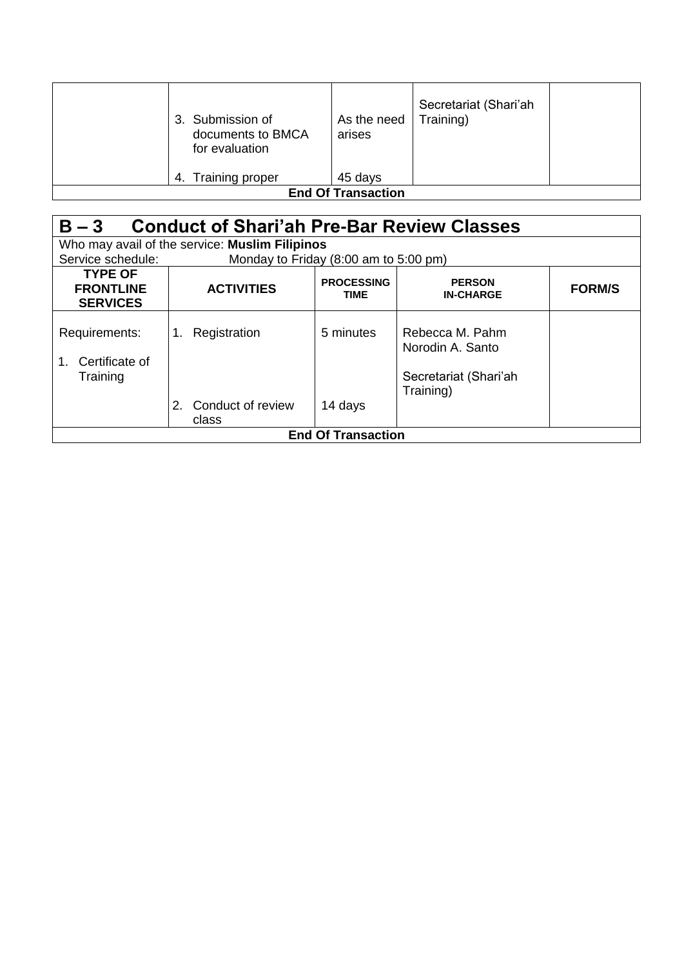|                           | 3. Submission of<br>documents to BMCA<br>for evaluation | As the need<br>arises | Secretariat (Shari'ah<br>Training) |  |  |
|---------------------------|---------------------------------------------------------|-----------------------|------------------------------------|--|--|
| 4.                        | Training proper                                         | 45 days               |                                    |  |  |
| <b>End Of Transaction</b> |                                                         |                       |                                    |  |  |

| <b>Conduct of Shari'ah Pre-Bar Review Classes</b><br>$B - 3$ |                                                |                                  |                                                                           |               |  |  |  |  |
|--------------------------------------------------------------|------------------------------------------------|----------------------------------|---------------------------------------------------------------------------|---------------|--|--|--|--|
|                                                              | Who may avail of the service: Muslim Filipinos |                                  |                                                                           |               |  |  |  |  |
| Service schedule:                                            | Monday to Friday (8:00 am to 5:00 pm)          |                                  |                                                                           |               |  |  |  |  |
| <b>TYPE OF</b><br><b>FRONTLINE</b><br><b>SERVICES</b>        | <b>ACTIVITIES</b>                              | <b>PROCESSING</b><br><b>TIME</b> | <b>PERSON</b><br><b>IN-CHARGE</b>                                         | <b>FORM/S</b> |  |  |  |  |
| Requirements:<br>Certificate of<br>$1_{-}$<br>Training       | Registration<br>1.<br>Conduct of review<br>2.  | 5 minutes<br>14 days             | Rebecca M. Pahm<br>Norodin A. Santo<br>Secretariat (Shari'ah<br>Training) |               |  |  |  |  |
|                                                              | class                                          |                                  |                                                                           |               |  |  |  |  |
|                                                              |                                                | <b>End Of Transaction</b>        |                                                                           |               |  |  |  |  |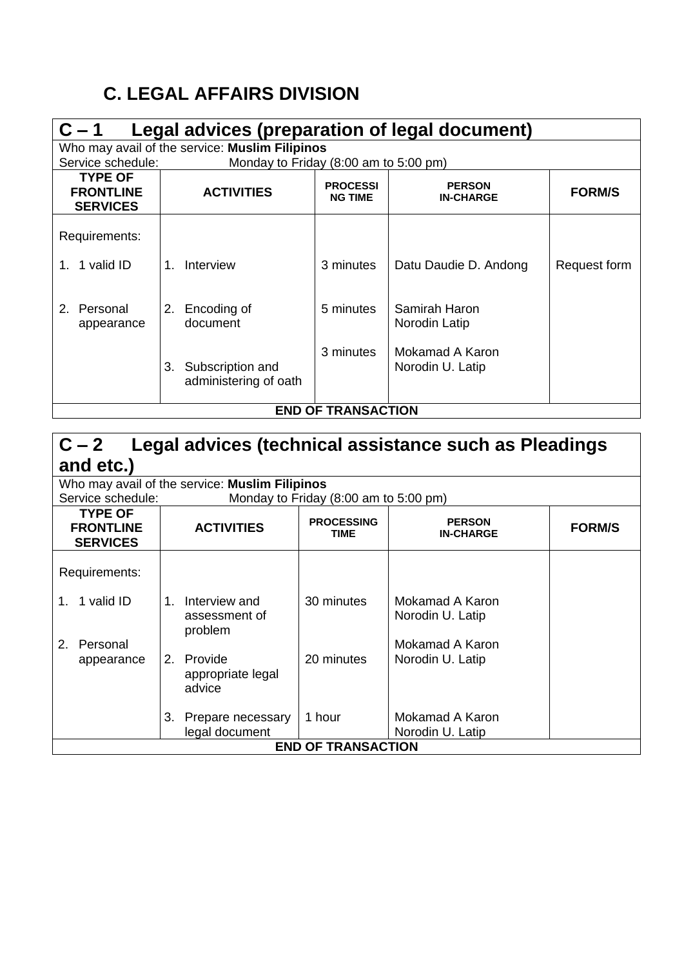# **C. LEGAL AFFAIRS DIVISION**

| $C - 1$                                                                                             | Legal advices (preparation of legal document) |                                                |                                   |                                   |               |  |
|-----------------------------------------------------------------------------------------------------|-----------------------------------------------|------------------------------------------------|-----------------------------------|-----------------------------------|---------------|--|
|                                                                                                     |                                               | Who may avail of the service: Muslim Filipinos |                                   |                                   |               |  |
| Service schedule:                                                                                   |                                               | Monday to Friday (8:00 am to 5:00 pm)          |                                   |                                   |               |  |
| <b>TYPE OF</b><br><b>FRONTLINE</b><br><b>SERVICES</b>                                               |                                               | <b>ACTIVITIES</b>                              | <b>PROCESSI</b><br><b>NG TIME</b> | <b>PERSON</b><br><b>IN-CHARGE</b> | <b>FORM/S</b> |  |
| Requirements:                                                                                       |                                               |                                                |                                   |                                   |               |  |
| 1. 1 valid ID                                                                                       |                                               | Interview                                      | 3 minutes                         | Datu Daudie D. Andong             | Request form  |  |
| Personal<br>2.<br>appearance                                                                        | 2.                                            | Encoding of<br>document                        | 5 minutes                         | Samirah Haron<br>Norodin Latip    |               |  |
| 3 minutes<br>Mokamad A Karon<br>Subscription and<br>Norodin U. Latip<br>3.<br>administering of oath |                                               |                                                |                                   |                                   |               |  |
|                                                                                                     |                                               |                                                | <b>END OF TRANSACTION</b>         |                                   |               |  |

| $C - 2$                                                                                                                                                              | Legal advices (technical assistance such as Pleadings |                                       |                                     |  |  |  |  |
|----------------------------------------------------------------------------------------------------------------------------------------------------------------------|-------------------------------------------------------|---------------------------------------|-------------------------------------|--|--|--|--|
| and etc.)                                                                                                                                                            |                                                       |                                       |                                     |  |  |  |  |
|                                                                                                                                                                      | Who may avail of the service: Muslim Filipinos        |                                       |                                     |  |  |  |  |
| Service schedule:                                                                                                                                                    |                                                       | Monday to Friday (8:00 am to 5:00 pm) |                                     |  |  |  |  |
| <b>TYPE OF</b><br><b>PROCESSING</b><br><b>PERSON</b><br><b>ACTIVITIES</b><br><b>FRONTLINE</b><br><b>FORM/S</b><br><b>TIME</b><br><b>IN-CHARGE</b><br><b>SERVICES</b> |                                                       |                                       |                                     |  |  |  |  |
| Requirements:                                                                                                                                                        |                                                       |                                       |                                     |  |  |  |  |
| 1 valid ID<br>1.                                                                                                                                                     | Interview and<br>1.<br>assessment of<br>problem       | 30 minutes                            | Mokamad A Karon<br>Norodin U. Latip |  |  |  |  |
| 2. Personal                                                                                                                                                          |                                                       |                                       | Mokamad A Karon                     |  |  |  |  |
| appearance                                                                                                                                                           | Provide<br>2.<br>appropriate legal<br>advice          | 20 minutes                            | Norodin U. Latip                    |  |  |  |  |
|                                                                                                                                                                      | 3.<br>Prepare necessary<br>legal document             | 1 hour                                | Mokamad A Karon<br>Norodin U. Latip |  |  |  |  |
|                                                                                                                                                                      |                                                       | <b>END OF TRANSACTION</b>             |                                     |  |  |  |  |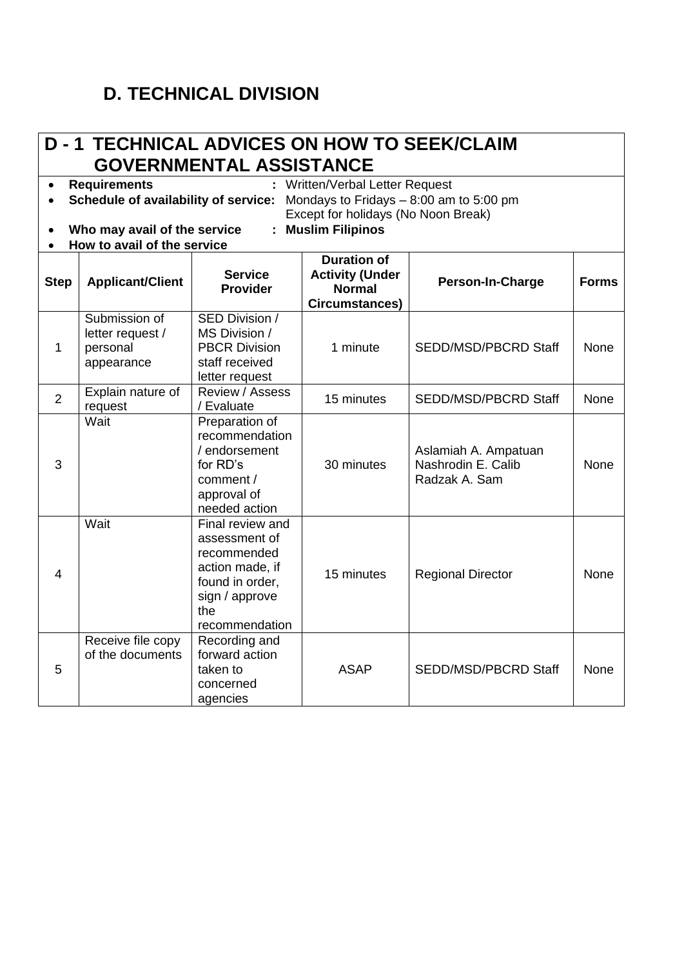#### **D. TECHNICAL DIVISION**

#### **D - 1 TECHNICAL ADVICES ON HOW TO SEEK/CLAIM GOVERNMENTAL ASSISTANCE** • **Requirements :** Written/Verbal Letter Request • **Schedule of availability of service:** Mondays to Fridays – 8:00 am to 5:00 pm Except for holidays (No Noon Break) • **Who may avail of the service : Muslim Filipinos** • **How to avail of the service Step Applicant/Client Service Provider Duration of Activity (Under Normal Circumstances) Person-In-Charge Forms** 1 Submission of letter request / personal appearance SED Division / MS Division / PBCR Division staff received letter request 1 minute | SEDD/MSD/PBCRD Staff | None  $\overline{2}$ Explain nature of request Review / Assess Review Assess 15 minutes SEDD/MSD/PBCRD Staff None 3 Wait Preparation of recommendation / endorsement for RD's comment / approval of needed action 30 minutes Aslamiah A. Ampatuan Nashrodin E. Calib Radzak A. Sam None 4 Wait Final review and assessment of recommended action made, if found in order, sign / approve the recommendation 15 minutes | Regional Director | None 5 Receive file copy of the documents Recording and forward action taken to concerned agencies ASAP | SEDD/MSD/PBCRD Staff | None